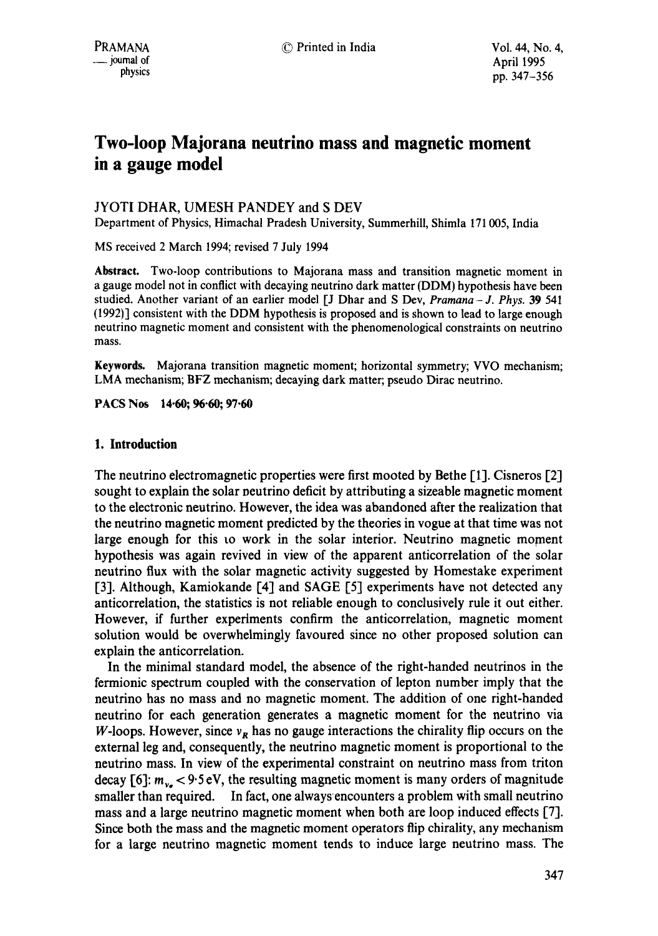# **Two-loop Majorana neutrino mass and magnetic moment in a gauge model**

## JYOTI DHAR, UMESH PANDEY and S DEV

Department of Physics, Himachal Pradesh University, Summerhill, Shimla 171005, India

MS received 2 March 1994; revised 7 July 1994

**Abstract.** Two-loop contributions to Majorana mass and transition magnetic moment in a gauge model not in conflict with decaying neutrino dark matter (DDM) hypothesis have been studied. Another variant of an earlier model [J Dhar and S Dev, *Pramana - J. Phys.* 39 541 (1992)] consistent with the DDM hypothesis is proposed and is shown to lead to large enough neutrino magnetic moment and consistent with the phenomenological constraints on neutrino mass.

**Keywords.** Majorana transition magnetic moment; horizontal symmetry; VVO mechanism; LMA mechanism; BFZ mechanism; decaying dark matter; pseudo Dirac neutrino.

**PACS Nos 14.60; 96.60; 97.60** 

## **1. Introduction**

The neutrino electromagnetic properties were first mooted by Bethe [1]. Cisneros [2] sought to explain the solar neutrino deficit by attributing a sizeable magnetic moment to the electronic neutrino. However, the idea was abandoned after the realization that the neutrino magnetic moment predicted by the theories in vogue at that time was not large enough for this to work in the solar interior. Neutrino magnetic moment hypothesis was again revived in view of the apparent anticorrelation of the solar neutrino flux with the solar magnetic activity suggested by Homestake experiment [3]. Although, Kamiokande [4] and SAGE [5] experiments have not detected any anticorrelation, the statistics is not reliable enough to conclusively rule it out either. However, if further experiments confirm the anticorrelation, magnetic moment solution would be overwhelmingly favoured since no other proposed solution can explain the anticorrelation.

In the minimal standard model, the absence of the right-handed neutrinos in the fermionic spectrum coupled with the conservation of lepton number imply that the neutrino has no mass and no magnetic moment. The addition of one right-handed neutrino for each generation generates a magnetic moment for the neutrino via W-loops. However, since  $v_R$  has no gauge interactions the chirality flip occurs on the external leg and, consequently, the neutrino magnetic moment is proportional to the neutrino mass. In view of the experimental constraint on neutrino mass from triton decay [6]:  $m_{v_e}$  < 9.5 eV, the resulting magnetic moment is many orders of magnitude smaller than required. In fact, one always encounters a problem with small neutrino mass and a large neutrino magnetic moment when both are loop induced effects [7]. Since both the mass and the magnetic moment operators flip chirality, any mechanism for a large neutrino magnetic moment tends to induce large neutrino mass. The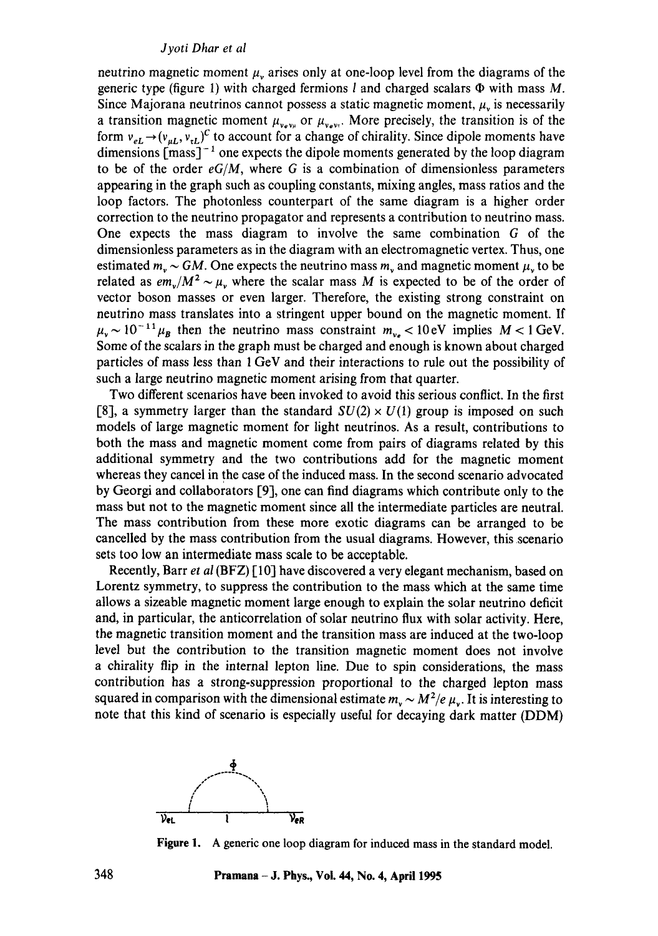neutrino magnetic moment  $\mu$ , arises only at one-loop level from the diagrams of the generic type (figure 1) with charged fermions  $l$  and charged scalars  $\Phi$  with mass M. Since Majorana neutrinos cannot possess a static magnetic moment,  $\mu$ , is necessarily a transition magnetic moment  $\mu_{v_{e}v_{\mu}}$  or  $\mu_{v_{e}v_{\tau}}$ . More precisely, the transition is of the form  $v_{eL} \rightarrow (v_{\mu L}, v_{\tau L})^C$  to account for a change of chirality. Since dipole moments have dimensions  ${\rm [mass]^{-1}}$  one expects the dipole moments generated by the loop diagram to be of the order  $eG/M$ , where G is a combination of dimensionless parameters appearing in the graph such as coupling constants, mixing angles, mass ratios and the loop factors. The photonless counterpart of the same diagram is a higher order correction to the neutrino propagator and represents a contribution to neutrino mass. One expects the mass diagram to involve the same combination G of the dimensionless parameters as in the diagram with an electromagnetic vertex. Thus, one estimated  $m_v \sim GM$ . One expects the neutrino mass  $m_v$  and magnetic moment  $\mu_v$  to be related as  $em_y/M^2 \sim \mu$ , where the scalar mass M is expected to be of the order of vector boson masses or even larger. Therefore, the existing strong constraint on neutrino mass translates into a stringent upper bound on the magnetic moment. If  $\mu_{\rm v} \sim 10^{-11} \mu_{\rm B}$  then the neutrino mass constraint  $m_{\nu_{\rm e}} < 10 \,\rm eV$  implies  $M < 1 \,\rm GeV$ . Some of the scalars in the graph must be charged and enough is known about charged particles of mass less than 1 GeV and their interactions to rule out the possibility of such a large neutrino magnetic moment arising from that quarter.

Two different scenarios have been invoked to avoid this serious conflict. In the first [8], a symmetry larger than the standard  $SU(2) \times U(1)$  group is imposed on such models of large magnetic moment for light neutrinos. As a result, contributions to both the mass and magnetic moment come from pairs of diagrams related by this additional symmetry and the two contributions add for the magnetic moment whereas they cancel in the case of the induced mass. In the second scenario advocated by Georgi and collaborators [9], one can find diagrams which contribute only to the mass but not to the magnetic moment since all the intermediate particles are neutral. The mass contribution from these more exotic diagrams can be arranged to be cancelled by the mass contribution from the usual diagrams. However, this scenario sets too low an intermediate mass scale to be acceptable.

Recently, Barr *et al* (BFZ) [10] have discovered a very elegant mechanism, based on Lorentz symmetry, to suppress the contribution to the mass which at the same time allows a sizeable magnetic moment large enough to explain the solar neutrino deficit and, in particular, the anticorrelation of solar neutrino flux with solar activity. Here, the magnetic transition moment and the transition mass are induced at the two-loop level but the contribution to the transition magnetic moment does not involve a chirality flip in the internal lepton line. Due to spin considerations, the mass contribution has a strong-suppression proportional to the charged lepton mass squared in comparison with the dimensional estimate  $m_v \sim M^2/e \mu_v$ . It is interesting to note that this kind of scenario is especially useful for decaying dark matter (DDM)



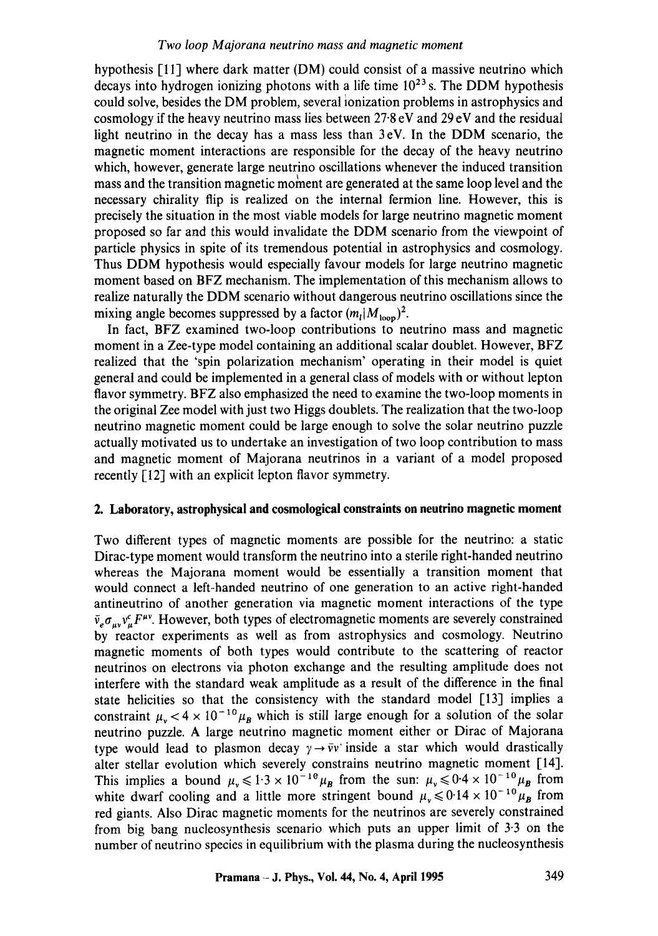hypothesis [11] where dark matter (DM) could consist of a massive neutrino which decays into hydrogen ionizing photons with a life time  $10^{23}$  s. The DDM hypothesis could solve, besides the DM problem, several ionization problems in astrophysics and cosmology if the heavy neutrino mass lies between 27-8 eV and 29 eV and the residual light neutrino in the decay has a mass less than 3eV. In the DDM scenario, the magnetic moment interactions are responsible for the decay of the heavy neutrino which, however, generate large neutrino oscillations whenever the induced transition mass and the transition magnetic moment are generated at the same loop level and the necessary chirality flip is realized on the internal fermion line. However, this is precisely the situation in the most viable models for large neutrino magnetic moment proposed so far and this would invalidate the DDM scenario from the viewpoint of particle physics in spite of its tremendous potential in astrophysics and cosmology. Thus DDM hypothesis would especially favour models for large neutrino magnetic moment based on BFZ mechanism. The implementation of this mechanism allows to realize naturally the DDM scenario without dangerous neutrino oscillations since the mixing angle becomes suppressed by a factor  $(m_l|M_{\text{loop}})^2$ .

In fact, BFZ examined two-loop contributions to neutrino mass and magnetic moment in a Zee-type model containing an additional scalar doublet. However, BFZ realized that the 'spin polarization mechanism' operating in their model is quiet general and could be implemented in a general class of models with or without lepton flavor symmetry. BFZ also emphasized the need to examine the two-loop moments in the original Zee model with just two Higgs doublets. The realization that the two-loop neutrino magnetic moment could be large enough to solve the solar neutrino puzzle actually motivated us to undertake an investigation of two loop contribution to mass and magnetic moment of Majorana neutrinos in a variant of a model proposed recently [12] with an explicit lepton flavor symmetry.

## **2. Laboratory, astrophysical and cosmological constraints on neutrino magnetic moment**

Two different types of magnetic moments are possible for the neutrino: a static Dirac-type moment would transform the neutrino into a sterile right-handed neutrino whereas the Majorana moment would be essentially a transition moment that would connect a left-handed neutrino of one generation to an active right-handed antineutrino of another generation via magnetic moment interactions of the type  $\bar{v}_e \sigma_{uv} v^e_{u} F^{\mu \nu}$ . However, both types of electromagnetic moments are severely constrained by reactor experiments as well as from astrophysics and cosmology. Neutrino magnetic moments of both types would contribute to the scattering of reactor neutrinos on electrons via photon exchange and the resulting amplitude does not interfere with the standard weak amplitude as a result of the difference in the final state helicities so that the consistency with the standard model [13] implies a constraint  $\mu_{\rm v}$  < 4 x 10<sup>-10</sup> $\mu_{\rm B}$  which is still large enough for a solution of the solar neutrino puzzle. A large neutrino magnetic moment either or Dirac of Majorana type would lead to plasmon decay  $\gamma \rightarrow \bar{\nu} \nu$  inside a star which would drastically alter stellar evolution which severely constrains neutrino magnetic moment [14]. This implies a bound  $\mu_v \leq 1.3 \times 10^{-16} \mu_B$  from the sun:  $\mu_v \leq 0.4 \times 10^{-16} \mu_B$  from white dwarf cooling and a little more stringent bound  $\mu_{\nu} \leq 0.14 \times 10^{-10} \mu_{B}$  from red giants. Also Dirac magnetic moments for the neutrinos are severely constrained from big bang nucleosynthesis scenario which puts an upper limit of 3'3 on the number of neutrino species in equilibrium with the plasma during the nucleosynthesis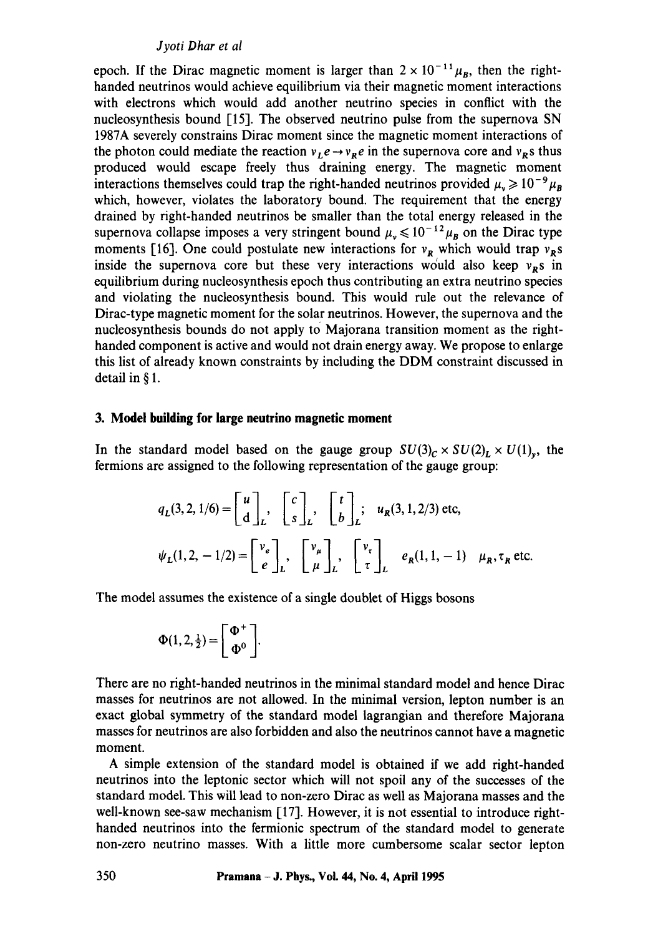epoch. If the Dirac magnetic moment is larger than  $2 \times 10^{-11} \mu_B$ , then the righthanded neutrinos would achieve equilibrium via their magnetic moment interactions with electrons which would add another neutrino species in conflict with the nucleosynthesis bound [15]. The observed neutrino pulse from the supernova SN 1987A severely constrains Dirac moment since the magnetic moment interactions of the photon could mediate the reaction  $v_1 e \rightarrow v_R e$  in the supernova core and  $v_R$ s thus produced would escape freely thus draining energy. The magnetic moment interactions themselves could trap the right-handed neutrinos provided  $\mu_v \ge 10^{-9} \mu_B$ which, however, violates the laboratory bound. The requirement that the energy drained by right-handed neutrinos be smaller than the total energy released in the supernova collapse imposes a very stringent bound  $\mu_v \le 10^{-12} \mu_B$  on the Dirac type moments [16]. One could postulate new interactions for  $v_R$  which would trap  $v_R s$ inside the supernova core but these very interactions would also keep  $v_R$ s in equilibrium during nucleosynthesis epoch thus contributing an extra neutrino species and violating the nucleosynthesis bound. This would rule out the relevance of Dirac-type magnetic moment for the solar neutrinos. However, the supernova and the nucleosynthesis bounds do not apply to Majorana transition moment as the righthanded component is active and would not drain energy away. We propose to enlarge this list of already known constraints by including the DDM constraint discussed in detail in § 1.

#### **3. Model building for large neutrino magnetic moment**

In the standard model based on the gauge group  $SU(3)_C \times SU(2)_L \times U(1)_v$ , the fermions are assigned to the following representation of the gauge group:

$$
q_L(3,2,1/6) = \begin{bmatrix} u \\ d \end{bmatrix}_L, \quad \begin{bmatrix} c \\ s \end{bmatrix}_L, \quad \begin{bmatrix} t \\ b \end{bmatrix}_L; \quad u_R(3,1,2/3) \text{ etc},
$$

$$
\psi_L(1,2,-1/2) = \begin{bmatrix} v_e \\ e \end{bmatrix}_L, \quad \begin{bmatrix} v_\mu \\ \mu \end{bmatrix}_L, \quad \begin{bmatrix} v_\tau \\ \tau \end{bmatrix}_L \quad e_R(1,1,-1) \quad \mu_R, \tau_R \text{ etc.}
$$

The model assumes the existence of a single doublet of Higgs bosons

$$
\Phi(1,2,\tfrac{1}{2})=\left[\begin{array}{c}\Phi^+\\ \Phi^0\end{array}\right].
$$

There are no right-handed neutrinos in the minimal standard model and hence Dirac masses for neutrinos are not allowed. In the minimal version, lepton number is an exact global symmetry of the standard model lagrangian and therefore Majorana masses for neutrinos are also forbidden and also the neutrinos cannot have a magnetic moment.

A simple extension of the standard model is obtained if we add right-handed neutrinos into the leptonic sector which will not spoil any of the successes of the standard model. This will lead to non-zero Dirac as well as Majorana masses and the well-known see-saw mechanism [17]. However, it is not essential to introduce righthanded neutrinos into the fermionic spectrum of the standard model to generate non-zero neutrino masses. With a little more cumbersome scalar sector lepton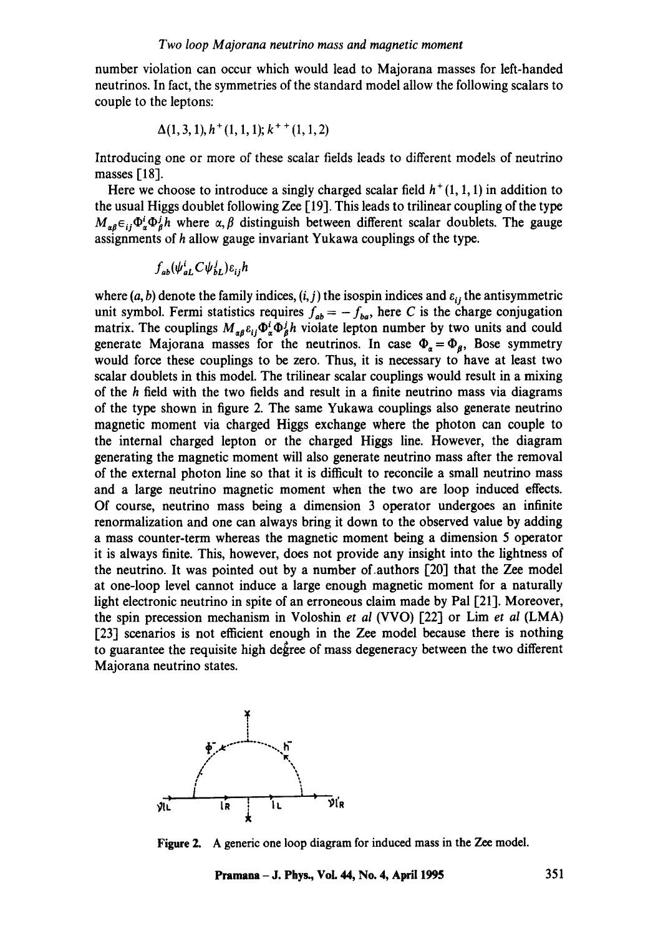number violation can occur which would lead to Majorana masses for left-handed neutrinos. In fact, the symmetries of the standard model allow the following scalars to couple to the leptons:

$$
\Delta(1,3,1), h^+(1,1,1); k^{++}(1,1,2)
$$

Introducing one or more of these scalar fields leads to different models of neutrino masses [18].

Here we choose to introduce a singly charged scalar field  $h^+(1,1,1)$  in addition to the usual Higgs doublet following Zee [19]. This leads to trilinear coupling of the type  $M_{\alpha\beta}\epsilon_{ij}\Phi^i_{\alpha}\Phi^j_{\beta}h$  where  $\alpha, \beta$  distinguish between different scalar doublets. The gauge assignments of h allow gauge invariant Yukawa couplings of the type.

$$
f_{ab}(\psi_{aL}^i C \psi_{bL}^j) \varepsilon_{ij} h
$$

where  $(a, b)$  denote the family indices,  $(i, j)$  the isospin indices and  $\varepsilon_{ij}$  the antisymmetric unit symbol. Fermi statistics requires  $f_{ab} = -f_{ba}$ , here C is the charge conjugation matrix. The couplings  $M_{\alpha\beta} \epsilon_{ij} \Phi_{\beta}^{i} \Phi_{\beta}^{j} h$  violate lepton number by two units and could generate Majorana masses for the neutrinos. In case  $\Phi_{\alpha} = \Phi_{\beta}$ , Bose symmetry would force these couplings to be zero. Thus, it is necessary to have at least two scalar doublets in this model. The trilinear scalar couplings would result in a mixing of the  $h$  field with the two fields and result in a finite neutrino mass via diagrams of the type shown in figure 2. The same Yukawa couplings also generate neutrino magnetic moment via charged Higgs exchange where the photon can couple to the internal charged lepton or the charged Higgs line. However, the diagram generating the magnetic moment will also generate neutrino mass after the removal of the external photon line so that it is difficult to reconcile a small neutrino mass and a large neutrino magnetic moment when the two are loop induced effects. Of course, neutrino mass being a dimension 3 operator undergoes an infinite renorrnalization and one can always bring it down to the observed value by adding a mass counter-term whereas the magnetic moment being a dimension 5 operator it is always finite. This, however, does not provide any insight into the lightness of the neutrino. It was pointed out by a number of.authors [20] that the Zee model at one-loop level cannot induce a large enough magnetic moment for a naturally light electronic neutrino in spite of an erroneous claim made by Pal [21]. Moreover, the spin precession mechanism in Voloshin *et al* (VVO) [22] or Lim *et al* (LMA) [23] scenarios is not efficient enough in the Zee model because there is nothing to guarantee the requisite high degree of mass degeneracy between the two different Majorana neutrino states.



**Figure** 2. A generic one loop diagram for induced mass in the Zee model.

**Pramana- J. Phys., VoL 44, No. 4, April 1995 351**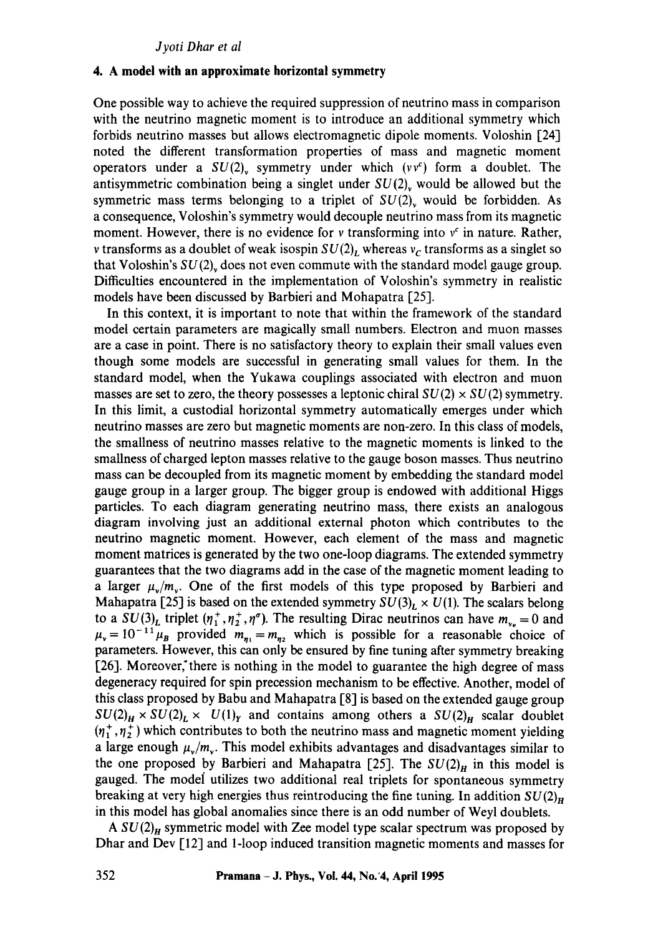#### **4. A model with an approximate horizontal symmetry**

One possible way to achieve the required suppression of neutrino mass in comparison with the neutrino magnetic moment is to introduce an additional symmetry which forbids neutrino masses but allows electromagnetic dipole moments. Voloshin [24] noted the different transformation properties of mass and magnetic moment operators under a  $SU(2)$ , symmetry under which  $(vv^c)$  form a doublet. The antisymmetric combination being a singlet under  $SU(2)$ , would be allowed but the symmetric mass terms belonging to a triplet of  $SU(2)$ , would be forbidden. As a consequence, Voloshin's symmetry would decouple neutrino mass from its magnetic moment. However, there is no evidence for v transforming into  $v^c$  in nature. Rather, *v* transforms as a doublet of weak isospin  $SU(2)$ , whereas  $v_c$  transforms as a singlet so that Voloshin's  $SU(2)$ , does not even commute with the standard model gauge group. Difficulties encountered in the implementation of Voloshin's symmetry in realistic models have been discussed by Barbieri and Mohapatra [25].

In this context, it is important to note that within the framework of the standard model certain parameters are magically small numbers. Electron and muon masses are a case in point. There is no satisfactory theory to explain their small values even though some models are successful in generating small values for them. In the standard model, when the Yukawa couplings associated with electron and muon masses are set to zero, the theory possesses a leptonic chiral  $SU(2) \times SU(2)$  symmetry. In this limit, a custodial horizontal symmetry automatically emerges under which neutrino masses are zero but magnetic moments are non-zero. In this class of models, the smallness of neutrino masses relative to the magnetic moments is linked to the smallness of charged lepton masses relative to the gauge boson masses. Thus neutrino mass can be decoupled from its magnetic moment by embedding the standard model gauge group in a larger group. The bigger group is endowed with additional Higgs particles. To each diagram generating neutrino mass, there exists an analogous diagram involving just an additional external photon which contributes to the neutrino magnetic moment. However, each element of the mass and magnetic moment matrices is generated by the two one-loop diagrams. The extended symmetry guarantees that the two diagrams add in the case of the magnetic moment leading to a larger  $\mu_{\nu}/m_{\nu}$ . One of the first models of this type proposed by Barbieri and Mahapatra [25] is based on the extended symmetry  $SU(3)_L \times U(1)$ . The scalars belong to a  $SU(3)<sub>L</sub>$  triplet  $(\eta_1^+, \eta_2^+, \eta_-^{\sigma})$ . The resulting Dirac neutrinos can have  $m_{v_e} = 0$  and  $\mu_v = 10^{-11} \mu_B$  provided  $m_{n_1} = m_{n_2}$  which is possible for a reasonable choice of parameters. However, this can only be ensured by fine tuning after symmetry breaking [26]. Moreover, there is nothing in the model to guarantee the high degree of mass degeneracy required for spin precession mechanism to be effective. Another, model of this class proposed by Babu and Mahapatra [8] is based on the extended gauge group  $SU(2)_H \times SU(2)_L \times U(1)_Y$  and contains among others a  $SU(2)_H$  scalar doublet  $(\eta_1^+, \eta_2^+)$  which contributes to both the neutrino mass and magnetic moment yielding a large enough  $\mu_{\nu}/m_{\nu}$ . This model exhibits advantages and disadvantages similar to the one proposed by Barbieri and Mahapatra [25]. The  $SU(2)_H$  in this model is gauged. The model utilizes two additional real triplets for spontaneous symmetry breaking at very high energies thus reintroducing the fine tuning. In addition  $SU(2)_H$ in this model has global anomalies since there is an odd number of Weyl doublets.

*A SU(2)<sub>H</sub>* symmetric model with Zee model type scalar spectrum was proposed by Dhar and Dev [12] and l-loop induced transition magnetic moments and masses for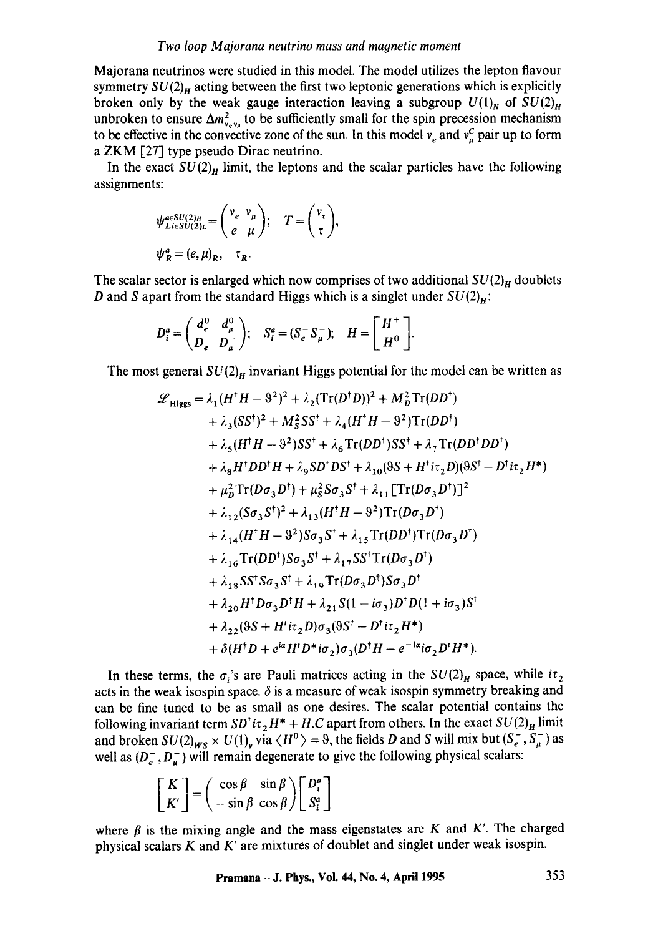Majorana neutrinos were studied in this model. The model utilizes the lepton flavour symmetry  $SU(2)_H$  acting between the first two leptonic generations which is explicitly broken only by the weak gauge interaction leaving a subgroup  $U(1)_N$  of  $SU(2)_H$ unbroken to ensure  $\Delta m_{\nu}^2$  to be sufficiently small for the spin precession mechanism to be effective in the convective zone of the sun. In this model  $v_e$  and  $v_u^c$  pair up to form a ZKM [27] type pseudo Dirac neutrino.

In the exact  $SU(2)_H$  limit, the leptons and the scalar particles have the following assignments:

$$
\psi_{LieSU(2)_L}^{a\in SU(2)_H} = \begin{pmatrix} v_e & v_\mu \\ e & \mu \end{pmatrix}; \quad T = \begin{pmatrix} v_\tau \\ \tau \end{pmatrix},
$$
  

$$
\psi_R^a = (e, \mu)_R, \quad \tau_R.
$$

The scalar sector is enlarged which now comprises of two additional  $SU(2)_H$  doublets D and S apart from the standard Higgs which is a singlet under  $SU(2)_H$ :

$$
D_i^a = \begin{pmatrix} d_e^0 & d_\mu^0 \\ D_e^- & D_\mu^- \end{pmatrix}; \quad S_i^a = (S_e^- S_\mu^-); \quad H = \begin{bmatrix} H^+ \\ H^0 \end{bmatrix}.
$$

The most general  $SU(2)_H$  invariant Higgs potential for the model can be written as

$$
\mathcal{L}_{\text{Higgs}} = \lambda_1 (H^{\dagger} H - \vartheta^2)^2 + \lambda_2 (\text{Tr}(D^{\dagger} D))^2 + M_D^2 \text{Tr}(D D^{\dagger}) \n+ \lambda_3 (SS^{\dagger})^2 + M_S^2 SS^{\dagger} + \lambda_4 (H^{\dagger} H - \vartheta^2) \text{Tr}(D D^{\dagger}) \n+ \lambda_5 (H^{\dagger} H - \vartheta^2) SS^{\dagger} + \lambda_6 \text{Tr}(D D^{\dagger}) SS^{\dagger} + \lambda_7 \text{Tr}(D D^{\dagger} D D^{\dagger}) \n+ \lambda_8 H^{\dagger} D D^{\dagger} H + \lambda_9 SD^{\dagger} DS^{\dagger} + \lambda_{10} (9S + H^{\dagger} i\tau_2 D)(9S^{\dagger} - D^{\dagger} i\tau_2 H^*) \n+ \mu_D^2 \text{Tr}(D \sigma_3 D^{\dagger}) + \mu_S^2 S \sigma_3 S^{\dagger} + \lambda_{11} [\text{Tr}(D \sigma_3 D^{\dagger})]^2 \n+ \lambda_{12} (S \sigma_3 S^{\dagger})^2 + \lambda_{13} (H^{\dagger} H - \vartheta^2) \text{Tr}(D \sigma_3 D^{\dagger}) \n+ \lambda_{14} (H^{\dagger} H - \vartheta^2) S \sigma_3 S^{\dagger} + \lambda_{15} \text{Tr}(D D^{\dagger}) \text{Tr}(D \sigma_3 D^{\dagger}) \n+ \lambda_{16} \text{Tr}(D D^{\dagger}) S \sigma_3 S^{\dagger} + \lambda_{17} S S^{\dagger} \text{Tr}(D \sigma_3 D^{\dagger}) \n+ \lambda_{18} S S^{\dagger} S \sigma_3 S^{\dagger} + \lambda_{19} \text{Tr}(D \sigma_3 D^{\dagger}) S \sigma_3 D^{\dagger} \n+ \lambda_{20} H^{\dagger} D \sigma_3 D^{\dagger} H + \lambda_{21} S (1 - i\sigma_3) D^{\dagger} D (1 + i\sigma_3) S^{\dagger} \n+ \lambda_{22} (9S + H^{\dagger} i\tau_2 D) \sigma_3 (9S^{\dagger} - D^{\dagger} i\tau_2 H^*) \n+ \delta (H^{\dagger}
$$

In these terms, the  $\sigma_i$ 's are Pauli matrices acting in the  $SU(2)_H$  space, while  $i\tau_2$ acts in the weak isospin space.  $\delta$  is a measure of weak isospin symmetry breaking and can be fine tuned to be as small as one desires. The scalar potential contains the following invariant term  $SD<sup>†</sup> i\tau$ <sub>2</sub>  $H^*$  + H.C apart from others. In the exact  $SU(2)_H$  limit and broken  $SU(2)_{WS} \times U(1)_{y}$  via  $\langle H^{0} \rangle = \vartheta$ , the fields D and S will mix but  $(S_{e}^{-}, S_{\mu}^{-})$  as well as  $(D_{\rho}^-, D_{\mu}^-)$  will remain degenerate to give the following physical scalars:

$$
\begin{bmatrix} K \\ K' \end{bmatrix} = \begin{pmatrix} \cos \beta & \sin \beta \\ -\sin \beta & \cos \beta \end{pmatrix} \begin{bmatrix} D_i^a \\ S_i^a \end{bmatrix}
$$

where  $\beta$  is the mixing angle and the mass eigenstates are K and K'. The charged physical scalars  $K$  and  $K'$  are mixtures of doublet and singlet under weak isospin.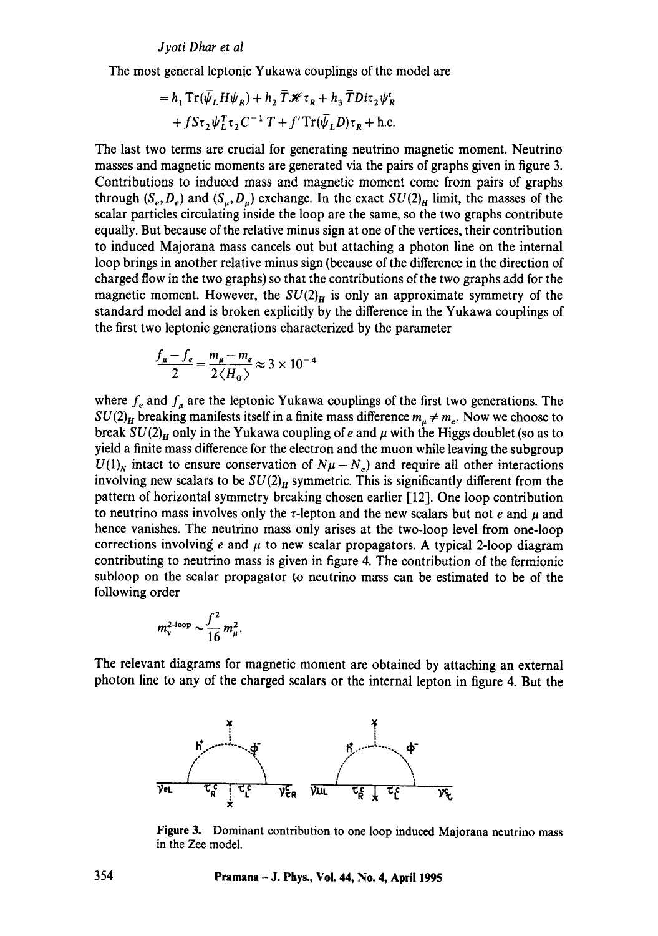The most general leptonic Yukawa couplings of the model are

$$
= h_1 \operatorname{Tr}(\bar{\psi}_L H \psi_R) + h_2 \overline{T} \mathcal{H} \tau_R + h_3 \overline{T} Di \tau_2 \psi_R^t
$$
  
+  $f \operatorname{St}_2 \psi_L^T \tau_2 C^{-1} T + f' \operatorname{Tr}(\bar{\psi}_L D) \tau_R + \text{h.c.}$ 

The last two terms are crucial for generating neutrino magnetic moment. Neutrino masses and magnetic moments are generated via the pairs of graphs given in figure 3. Contributions to induced mass and magnetic moment come from pairs of graphs through  $(S_e, D_e)$  and  $(S_u, D_u)$  exchange. In the exact  $SU(2)_H$  limit, the masses of the scalar particles circulating inside the loop are the same, so the two graphs contribute equally. But because of the relative minus sign at one of the vertices, their contribution to induced Majorana mass cancels out but attaching a photon line on the internal loop brings in another relative minus sign (because of the difference in the direction of charged flow in the two graphs) so that the contributions of the two graphs add for the magnetic moment. However, the  $SU(2)_H$  is only an approximate symmetry of the standard model and is broken explicitly by the difference in the Yukawa couplings of the first two leptonic generations characterized by the parameter

$$
\frac{f_{\mu}-f_e}{2} = \frac{m_{\mu}-m_e}{2\langle H_0 \rangle} \approx 3 \times 10^{-4}
$$

where  $f_e$  and  $f_\mu$  are the leptonic Yukawa couplings of the first two generations. The  $SU(2)_H$  breaking manifests itself in a finite mass difference  $m_\mu \neq m_e$ . Now we choose to break  $SU(2)_H$  only in the Yukawa coupling of e and  $\mu$  with the Higgs doublet (so as to yield a finite mass difference for the electron and the muon while leaving the subgroup  $U(1)$ <sub>N</sub> intact to ensure conservation of  $N\mu - N_e$ ) and require all other interactions involving new scalars to be  $SU(2)_H$  symmetric. This is significantly different from the pattern of horizontal symmetry breaking chosen earlier [121. One loop contribution to neutrino mass involves only the  $\tau$ -lepton and the new scalars but not e and  $\mu$  and hence vanishes. The neutrino mass only arises at the two-loop level from one-loop corrections involving e and  $\mu$  to new scalar propagators. A typical 2-loop diagram contributing to neutrino mass is given in figure 4. The contribution of the fermionic subloop on the scalar propagator to neutrino mass can be estimated to be of the following order

$$
m_{\rm v}^{\rm 2\text{-loop}} \sim \frac{f^2}{16} m_{\mu}^2.
$$

The relevant diagrams for magnetic moment are obtained by attaching an external photon line to any of the charged scalars or the internal lepton in figure 4. But the



**Figure** 3. Dominant contribution to one loop induced Majorana neutrino mass in the Zee model.

**354 Pramana - J. Phys., Vol. 44, No. 4, April 1995**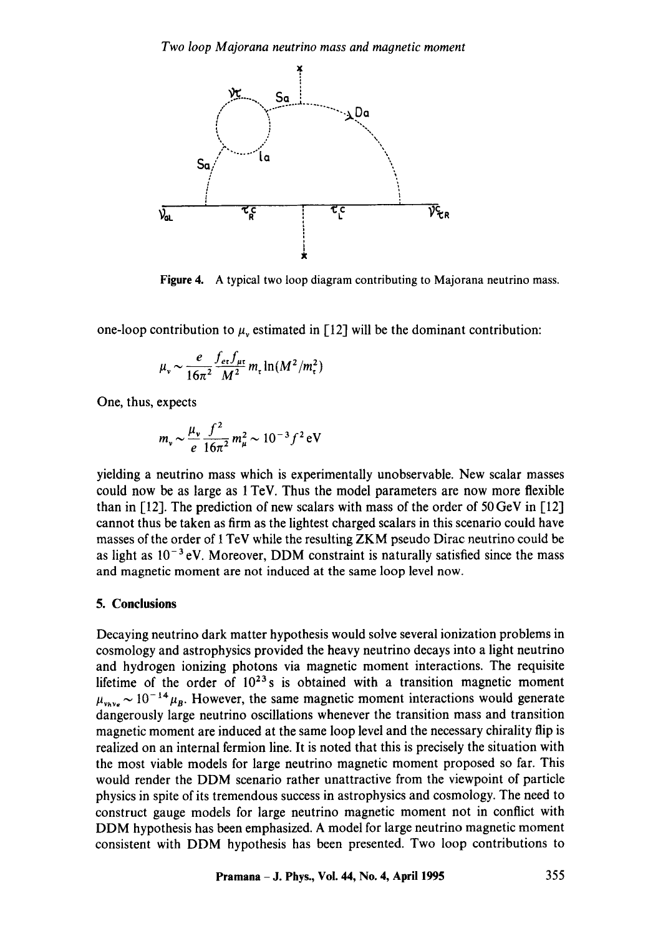

Figure 4. A typical two loop diagram contributing to Majorana neutrino mass.

one-loop contribution to  $\mu$ , estimated in [12] will be the dominant contribution:

$$
\mu_{\rm v} \sim \frac{e}{16\pi^2} \frac{f_{\rm et}f_{\rm \mu\rm r}}{M^2} m_{\rm r} \ln(M^2/m_{\rm r}^2)
$$

One, thus, expects

$$
m_v \sim \frac{\mu_v}{e} \frac{f^2}{16\pi^2} m_\mu^2 \sim 10^{-3} f^2 \,\text{eV}
$$

yielding a neutrino mass which is experimentally unobservable. New scalar masses could now be as large as 1 TeV. Thus the model parameters are now more flexible than in [12]. The prediction of new scalars with mass of the order of 50 GeV in [12] cannot thus be taken as firm as the lightest charged scalars in this scenario could have masses of the order of 1 TeV while the resulting ZKM pseudo Dirac neutrino could be as light as  $10^{-3}$  eV. Moreover, DDM constraint is naturally satisfied since the mass and magnetic moment are not induced at the same loop level now.

#### 5. **Conclusions**

Decaying neutrino dark matter hypothesis would solve several ionization problems in cosmology and astrophysics provided the heavy neutrino decays into a light neutrino and hydrogen ionizing photons via magnetic moment interactions. The requisite lifetime of the order of  $10^{23}$ s is obtained with a transition magnetic moment  $\mu_{\text{wave}} \sim 10^{-14} \mu_B$ . However, the same magnetic moment interactions would generate dangerously large neutrino oscillations whenever the transition mass and transition magnetic moment are induced at the same loop level and the necessary chirality flip is realized on an internal fermion line. It is noted that this is precisely the situation with the most viable models for large neutrino magnetic moment proposed so far. This would render the DDM scenario rather unattractive from the viewpoint of particle physics in spite of its tremendous success in astrophysics and cosmology. The need to construct gauge models for large neutrino magnetic moment not in conflict with DDM hypothesis has been emphasized. A model for large neutrino magnetic moment consistent with DDM hypothesis has been presented. Two loop contributions to